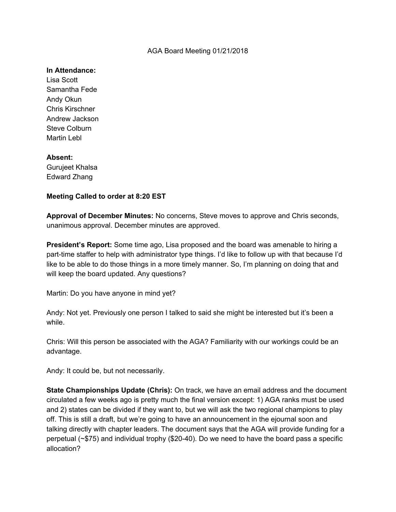### AGA Board Meeting 01/21/2018

### **In Attendance:**

Lisa Scott Samantha Fede Andy Okun Chris Kirschner Andrew Jackson Steve Colburn Martin Lebl

# **Absent:**

Gurujeet Khalsa Edward Zhang

# **Meeting Called to order at 8:20 EST**

**Approval of December Minutes:** No concerns, Steve moves to approve and Chris seconds, unanimous approval. December minutes are approved.

**President's Report:** Some time ago, Lisa proposed and the board was amenable to hiring a part-time staffer to help with administrator type things. I'd like to follow up with that because I'd like to be able to do those things in a more timely manner. So, I'm planning on doing that and will keep the board updated. Any questions?

Martin: Do you have anyone in mind yet?

Andy: Not yet. Previously one person I talked to said she might be interested but it's been a while.

Chris: Will this person be associated with the AGA? Familiarity with our workings could be an advantage.

Andy: It could be, but not necessarily.

**State Championships Update (Chris):** On track, we have an email address and the document circulated a few weeks ago is pretty much the final version except: 1) AGA ranks must be used and 2) states can be divided if they want to, but we will ask the two regional champions to play off. This is still a draft, but we're going to have an announcement in the ejournal soon and talking directly with chapter leaders. The document says that the AGA will provide funding for a perpetual (~\$75) and individual trophy (\$20-40). Do we need to have the board pass a specific allocation?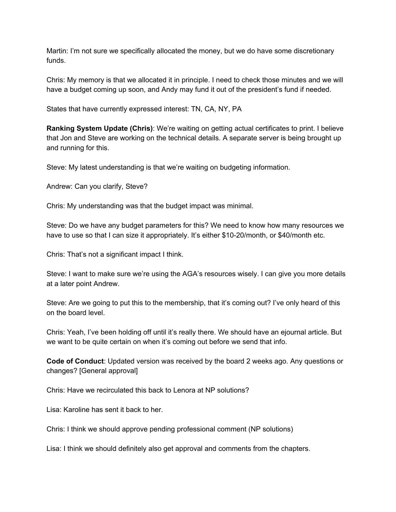Martin: I'm not sure we specifically allocated the money, but we do have some discretionary funds.

Chris: My memory is that we allocated it in principle. I need to check those minutes and we will have a budget coming up soon, and Andy may fund it out of the president's fund if needed.

States that have currently expressed interest: TN, CA, NY, PA

**Ranking System Update (Chris)**: We're waiting on getting actual certificates to print. I believe that Jon and Steve are working on the technical details. A separate server is being brought up and running for this.

Steve: My latest understanding is that we're waiting on budgeting information.

Andrew: Can you clarify, Steve?

Chris: My understanding was that the budget impact was minimal.

Steve: Do we have any budget parameters for this? We need to know how many resources we have to use so that I can size it appropriately. It's either \$10-20/month, or \$40/month etc.

Chris: That's not a significant impact I think.

Steve: I want to make sure we're using the AGA's resources wisely. I can give you more details at a later point Andrew.

Steve: Are we going to put this to the membership, that it's coming out? I've only heard of this on the board level.

Chris: Yeah, I've been holding off until it's really there. We should have an ejournal article. But we want to be quite certain on when it's coming out before we send that info.

**Code of Conduct**: Updated version was received by the board 2 weeks ago. Any questions or changes? [General approval]

Chris: Have we recirculated this back to Lenora at NP solutions?

Lisa: Karoline has sent it back to her.

Chris: I think we should approve pending professional comment (NP solutions)

Lisa: I think we should definitely also get approval and comments from the chapters.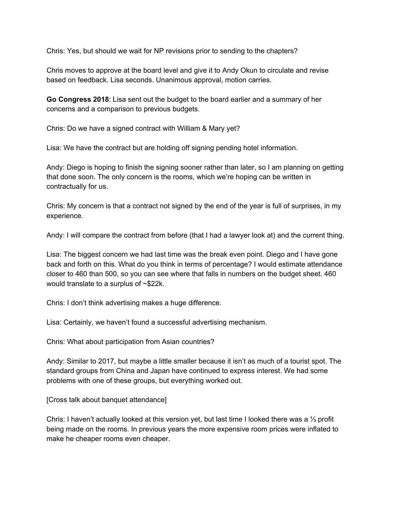Chris: Yes, but should we wait for NP revisions prior to sending to the chapters?

Chris moves to approve at the board level and give it to Andy Okun to circulate and revise based on feedback. Lisa seconds. Unanimous approval, motion carries.

**Go Congress 2018**: Lisa sent out the budget to the board earlier and a summary of her concerns and a comparison to previous budgets.

Chris: Do we have a signed contract with William & Mary yet?

Lisa: We have the contract but are holding off signing pending hotel information.

Andy: Diego is hoping to finish the signing sooner rather than later, so I am planning on getting that done soon. The only concern is the rooms, which we're hoping can be written in contractually for us.

Chris: My concern is that a contract not signed by the end of the year is full of surprises, in my experience.

Andy: I will compare the contract from before (that I had a lawyer look at) and the current thing.

Lisa: The biggest concern we had last time was the break even point. Diego and I have gone back and forth on this. What do you think in terms of percentage? I would estimate attendance closer to 460 than 500, so you can see where that falls in numbers on the budget sheet. 460 would translate to a surplus of ~\$22k.

Chris: I don't think advertising makes a huge difference.

Lisa: Certainly, we haven't found a successful advertising mechanism.

Chris: What about participation from Asian countries?

Andy: Similar to 2017, but maybe a little smaller because it isn't as much of a tourist spot. The standard groups from China and Japan have continued to express interest. We had some problems with one of these groups, but everything worked out.

[Cross talk about banquet attendance]

Chris: I haven't actually looked at this version yet, but last time I looked there was a ⅓ profit being made on the rooms. In previous years the more expensive room prices were inflated to make he cheaper rooms even cheaper.